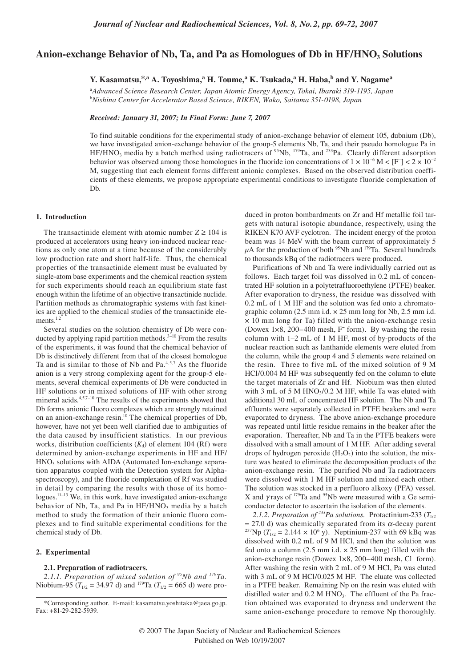# Anion-exchange Behavior of Nb, Ta, and Pa as Homologues of Db in HF/HNO<sub>3</sub> Solutions

**Y. Kasamatsu,\*,a A. Toyoshima,<sup>a</sup> H. Toume,<sup>a</sup> K. Tsukada,<sup>a</sup> H. Haba,b and Y. Nagamea**

a *Advanced Science Research Center, Japan Atomic Energy Agency, Tokai, Ibaraki 319-1195, Japan* b *Nishina Center for Accelerator Based Science, RIKEN, Wako, Saitama 351-0198, Japan*

*Received: January 31, 2007; In Final Form: June 7, 2007*

To find suitable conditions for the experimental study of anion-exchange behavior of element 105, dubnium (Db), we have investigated anion-exchange behavior of the group-5 elements Nb, Ta, and their pseudo homologue Pa in  $HF/HNO<sub>3</sub>$  media by a batch method using radiotracers of <sup>95</sup>Nb, <sup>179</sup>Ta, and <sup>233</sup>Pa. Clearly different adsorption behavior was observed among those homologues in the fluoride ion concentrations of  $1 \times 10^{-6}$  M < [F<sup>-</sup>] < 2 × 10<sup>-2</sup> M, suggesting that each element forms different anionic complexes. Based on the observed distribution coefficients of these elements, we propose appropriate experimental conditions to investigate fluoride complexation of Db.

#### **1. Introduction**

The transactinide element with atomic number  $Z \ge 104$  is produced at accelerators using heavy ion-induced nuclear reactions as only one atom at a time because of the considerably low production rate and short half-life. Thus, the chemical properties of the transactinide element must be evaluated by single-atom base experiments and the chemical reaction system for such experiments should reach an equilibrium state fast enough within the lifetime of an objective transactinide nuclide. Partition methods as chromatographic systems with fast kinetics are applied to the chemical studies of the transactinide elements. $1,2$ 

Several studies on the solution chemistry of Db were conducted by applying rapid partition methods. $3-10$  From the results of the experiments, it was found that the chemical behavior of Db is distinctively different from that of the closest homologue Ta and is similar to those of Nb and Pa.<sup>4,5,7</sup> As the fluoride anion is a very strong complexing agent for the group-5 elements, several chemical experiments of Db were conducted in HF solutions or in mixed solutions of HF with other strong mineral acids.4,5,7–10 The results of the experiments showed that Db forms anionic fluoro complexes which are strongly retained on an anion-exchange resin.<sup>10</sup> The chemical properties of Db, however, have not yet been well clarified due to ambiguities of the data caused by insufficient statistics. In our previous works, distribution coefficients  $(K_d)$  of element 104 (Rf) were determined by anion-exchange experiments in HF and HF/ HNO<sub>3</sub> solutions with AIDA (Automated Ion-exchange separation apparatus coupled with the Detection system for Alphaspectroscopy), and the fluoride complexation of Rf was studied in detail by comparing the results with those of its homologues.<sup>11-13</sup> We, in this work, have investigated anion-exchange behavior of Nb, Ta, and Pa in  $HF/HNO<sub>3</sub>$  media by a batch method to study the formation of their anionic fluoro complexes and to find suitable experimental conditions for the chemical study of Db.

## **2. Experimental**

## **2.1. Preparation of radiotracers.**

*2.1.1. Preparation of mixed solution of 95Nb and 179Ta.* Niobium-95 ( $T_{1/2}$  = 34.97 d) and <sup>179</sup>Ta ( $T_{1/2}$  = 665 d) were produced in proton bombardments on Zr and Hf metallic foil targets with natural isotopic abundance, respectively, using the RIKEN K70 AVF cyclotron. The incident energy of the proton beam was 14 MeV with the beam current of approximately 5  $\mu$ A for the production of both <sup>95</sup>Nb and <sup>179</sup>Ta. Several hundreds to thousands kBq of the radiotracers were produced.

Purifications of Nb and Ta were individually carried out as follows. Each target foil was dissolved in 0.2 mL of concentrated HF solution in a polytetrafluoroethylene (PTFE) beaker. After evaporation to dryness, the residue was dissolved with 0.2 mL of 1 M HF and the solution was fed onto a chromatographic column  $(2.5 \text{ mm i.d.} \times 25 \text{ mm long for Nb}, 2.5 \text{ mm i.d.})$ × 10 mm long for Ta) filled with the anion-exchange resin (Dowex 1×8, 200–400 mesh, F− form). By washing the resin column with 1–2 mL of 1 M HF, most of by-products of the nuclear reaction such as lanthanide elements were eluted from the column, while the group 4 and 5 elements were retained on the resin. Three to five mL of the mixed solution of 9 M HCl/0.004 M HF was subsequently fed on the column to elute the target materials of Zr and Hf. Niobium was then eluted with  $3 \text{ mL of } 5 \text{ M HNO}_3/0.2 \text{ M HF}$ , while Ta was eluted with additional 30 mL of concentrated HF solution. The Nb and Ta effluents were separately collected in PTFE beakers and were evaporated to dryness. The above anion-exchange procedure was repeated until little residue remains in the beaker after the evaporation. Thereafter, Nb and Ta in the PTFE beakers were dissolved with a small amount of 1 M HF. After adding several drops of hydrogen peroxide  $(H_2O_2)$  into the solution, the mixture was heated to eliminate the decomposition products of the anion-exchange resin. The purified Nb and Ta radiotracers were dissolved with 1 M HF solution and mixed each other. The solution was stocked in a perfluoro alkoxy (PFA) vessel. X and  $\gamma$  rays of <sup>179</sup>Ta and <sup>95</sup>Nb were measured with a Ge semiconductor detector to ascertain the isolation of the elements.

2.1.2. *Preparation of* <sup>233</sup>*Pa solutions.* Protactinium-233 ( $T_{1/2}$  = 27.0 d) was chemically separated from its  $\alpha$ -decay parent = 27.0 d) was chemically separated from its α-decay parent <sup>237</sup>Np ( $T_{1/2}$  = 2.144 × 10<sup>6</sup> y). Neptinium-237 with 69 kBq was dissolved with 0.2 mL of 9 M HCl, and then the solution was fed onto a column  $(2.5 \text{ mm i.d.} \times 25 \text{ mm long})$  filled with the anion-exchange resin (Dowex 1×8, 200–400 mesh, Cl− form). After washing the resin with 2 mL of 9 M HCl, Pa was eluted with 3 mL of 9 M HCl/0.025 M HF. The eluate was collected in a PTFE beaker. Remaining Np on the resin was eluted with distilled water and  $0.2$  M HNO<sub>3</sub>. The effluent of the Pa fraction obtained was evaporated to dryness and underwent the same anion-exchange procedure to remove Np thoroughly.

<sup>\*</sup>Corresponding author. E-mail: kasamatsu.yoshitaka@jaea.go.jp. Fax: +81-29-282-5939.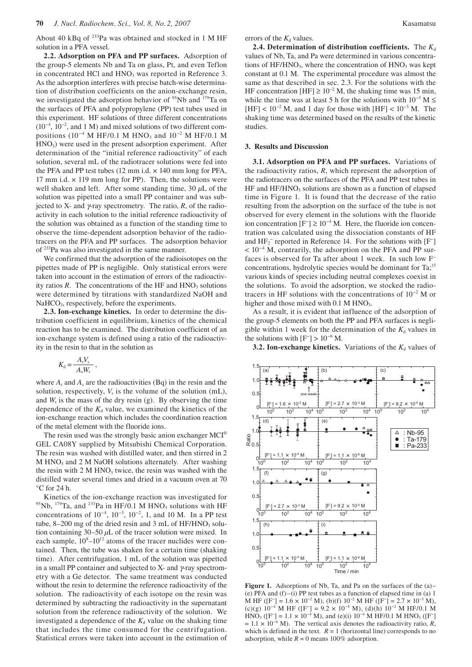About 40 kBq of 233Pa was obtained and stocked in 1 M HF solution in a PFA vessel.

**2.2. Adsorption on PFA and PP surfaces.** Adsorption of the group-5 elements Nb and Ta on glass, Pt, and even Teflon in concentrated HCl and  $HNO<sub>3</sub>$  was reported in Reference 3. As the adsorption interferes with precise batch-wise determination of distribution coefficients on the anion-exchange resin, we investigated the adsorption behavior of <sup>95</sup>Nb and <sup>179</sup>Ta on the surfaces of PFA and polypropylene (PP) test tubes used in this experiment. HF solutions of three different concentrations  $(10^{-4}, 10^{-2},$  and 1 M) and mixed solutions of two different compositions (10<sup>-4</sup> M HF/0.1 M HNO<sub>3</sub> and  $10^{-2}$  M HF/0.1 M  $HNO<sub>3</sub>$ ) were used in the present adsorption experiment. After determination of the "initial reference radioactivity" of each solution, several mL of the radiotracer solutions were fed into the PFA and PP test tubes  $(12 \text{ mm i.d.} \times 140 \text{ mm} \log \text{ for PFA},$ 17 mm i.d.  $\times$  119 mm long for PP). Then, the solutions were well shaken and left. After some standing time, 30 *µ*L of the solution was pipetted into a small PP container and was subjected to X- and  $\gamma$ -ray spectrometry. The ratio,  $R$ , of the radioactivity in each solution to the initial reference radioactivity of the solution was obtained as a function of the standing time to observe the time-dependent adsorption behavior of the radiotracers on the PFA and PP surfaces. The adsorption behavior of 233Pa was also investigated in the same manner.

We confirmed that the adsorption of the radioisotopes on the pipettes made of PP is negligible. Only statistical errors were taken into account in the estimation of errors of the radioactivity ratios  $R$ . The concentrations of the HF and  $HNO<sub>3</sub>$  solutions were determined by titrations with standardized NaOH and NaHCO<sub>3</sub>, respectively, before the experiments.

**2.3. Ion-exchange kinetics.** In order to determine the distribution coefficient in equilibrium, kinetics of the chemical reaction has to be examined. The distribution coefficient of an ion-exchange system is defined using a ratio of the radioactivity in the resin to that in the solution as

$$
K_{\rm d} = \frac{A_{\rm r} V_{\rm s}}{A_{\rm s} W_{\rm r}}\,,
$$

where  $A_r$  and  $A_s$  are the radioactivities (Bq) in the resin and the solution, respectively,  $V_s$  is the volume of the solution  $(mL)$ , and  $W_r$  is the mass of the dry resin (g). By observing the time dependence of the  $K_d$  value, we examined the kinetics of the ion-exchange reaction which includes the coordination reaction of the metal element with the fluoride ions.

The resin used was the strongly basic anion exchanger MCI® GEL CA08Y supplied by Mitsubishi Chemical Corporation. The resin was washed with distilled water, and then stirred in 2 M HNO<sub>3</sub> and 2 M NaOH solutions alternately. After washing the resin with  $2 M HNO<sub>3</sub>$  twice, the resin was washed with the distilled water several times and dried in a vacuum oven at 70  $\degree$ C for 24 h.

Kinetics of the ion-exchange reaction was investigated for 95Nb,  $^{179}$ Ta, and  $^{233}$ Pa in HF/0.1 M HNO<sub>3</sub> solutions with HF concentrations of  $10^{-4}$ ,  $10^{-3}$ ,  $10^{-2}$ , 1, and 10 M. In a PP test tube,  $8-200$  mg of the dried resin and 3 mL of HF/HNO<sub>3</sub> solution containing 30–50 *µ*L of the tracer solution were mixed. In each sample,  $10^{8}-10^{12}$  atoms of the tracer nuclides were contained. Then, the tube was shaken for a certain time (shaking time). After centrifugation, 1 mL of the solution was pipetted in a small PP container and subjected to X- and  $\gamma$ -ray spectrometry with a Ge detector. The same treatment was conducted without the resin to determine the reference radioactivity of the solution. The radioactivity of each isotope on the resin was determined by subtracting the radioactivity in the supernatant solution from the reference radioactivity of the solution. We investigated a dependence of the  $K_d$  value on the shaking time that includes the time consumed for the centrifugation. Statistical errors were taken into account in the estimation of

errors of the  $K_d$  values.

**2.4. Determination of distribution coefficients.** The  $K_d$ values of Nb, Ta, and Pa were determined in various concentrations of  $HF/HNO<sub>3</sub>$ , where the concentration of  $HNO<sub>3</sub>$  was kept constant at 0.1 M. The experimental procedure was almost the same as that described in sec. 2.3. For the solutions with the HF concentration  $[HF] \ge 10^{-2}$  M, the shaking time was 15 min, while the time was at least 5 h for the solutions with  $10^{-3}$  M ≤  $[HF] < 10^{-2}$  M, and 1 day for those with  $[HF] < 10^{-3}$  M. The shaking time was determined based on the results of the kinetic studies.

#### **3. Results and Discussion**

**3.1. Adsorption on PFA and PP surfaces.** Variations of the radioactivity ratios, *R*, which represent the adsorption of the radiotracers on the surfaces of the PFA and PP test tubes in  $HF/HNO<sub>3</sub>$  solutions are shown as a function of elapsed time in Figure 1. It is found that the decrease of the ratio resulting from the adsorption on the surface of the tube is not observed for every element in the solutions with the fluoride ion concentration  $[F^-]$  ≥ 10<sup>-4</sup> M. Here, the fluoride ion concentration was calculated using the dissociation constants of HF and  $HF_2^-$  reported in Reference 14. For the solutions with  $[F^-]$ < 10−4 M, contrarily, the adsorption on the PFA and PP surfaces is observed for Ta after about 1 week. In such low F− concentrations, hydrolytic species would be dominant for Ta;<sup>15</sup> various kinds of species including neutral complexes coexist in the solutions. To avoid the adsorption, we stocked the radiotracers in HF solutions with the concentrations of 10−2 M or higher and those mixed with  $0.1$  M HNO<sub>3</sub>.

As a result, it is evident that influence of the adsorption of the group-5 elements on both the PP and PFA surfaces is negligible within 1 week for the determination of the  $K_d$  values in the solutions with  $[F^-] > 10^{-6}$  M.

**3.2. Ion-exchange kinetics.** Variations of the  $K_d$  values of



**Figure 1.** Adsorptions of Nb, Ta, and Pa on the surfaces of the (a)– (e) PFA and  $(f)$ –(i) PP test tubes as a function of elapsed time in (a) 1 M HF ([F<sup>-</sup>] = 1.6 × 10<sup>-2</sup> M), (b)(f) 10<sup>-2</sup> M HF ([F<sup>-</sup>] = 2.7 × 10<sup>-3</sup> M), (c)(g)  $10^{-4}$  M HF ([F<sup>-</sup>] = 9.2 × 10<sup>-5</sup> M), (d)(h)  $10^{-2}$  M HF/0.1 M HNO<sub>3</sub> ([F<sup>-</sup>] = 1.1 × 10<sup>-4</sup> M), and (e)(i) 10<sup>-4</sup> M HF/0.1 M HNO<sub>3</sub> ([F<sup>-</sup>]  $= 1.1 \times 10^{-6}$  M). The vertical axis denotes the radioactivity ratio, *R*, which is defined in the text.  $R = 1$  (horizontal line) corresponds to no adsorption, while  $R = 0$  means 100% adsorption.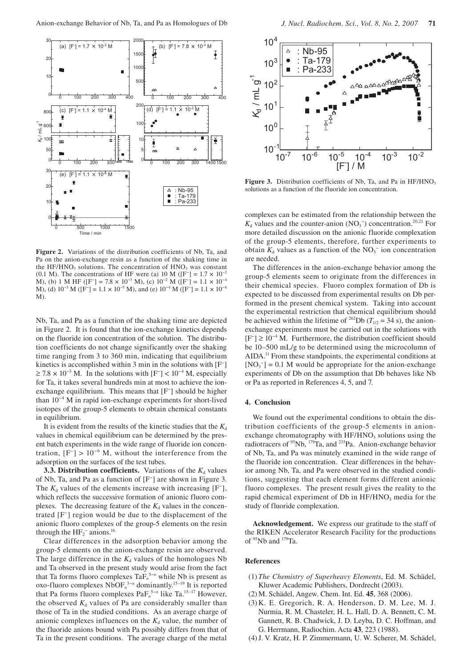

**Figure 2.** Variations of the distribution coefficients of Nb, Ta, and Pa on the anion-exchange resin as a function of the shaking time in the HF/HNO<sub>3</sub> solutions. The concentration of  $HNO<sub>3</sub>$  was constant (0.1 M). The concentrations of HF were (a) 10 M ([F<sup>-</sup>] =  $1.7 \times 10^{-2}$ M), (b) 1 M HF ([F<sup>-</sup>] = 7.8 × 10<sup>-3</sup> M), (c)  $10^{-2}$  M ([F<sup>-</sup>] = 1.1 × 10<sup>-4</sup> M), (d)  $10^{-3}$  M ([F<sup>-</sup>] = 1.1 × 10<sup>-5</sup> M), and (e)  $10^{-4}$  M ([F<sup>-</sup>] = 1.1 × 10<sup>-6</sup> M).

Nb, Ta, and Pa as a function of the shaking time are depicted in Figure 2. It is found that the ion-exchange kinetics depends on the fluoride ion concentration of the solution. The distribution coefficients do not change significantly over the shaking time ranging from 3 to 360 min, indicating that equilibrium kinetics is accomplished within 3 min in the solutions with [F− ]  $\geq 7.8 \times 10^{-3}$  M. In the solutions with [F<sup>-</sup>] < 10<sup>-4</sup> M, especially for Ta, it takes several hundreds min at most to achieve the ionexchange equilibrium. This means that [F− ] should be higher than 10−4 M in rapid ion-exchange experiments for short-lived isotopes of the group-5 elements to obtain chemical constants in equilibrium.

It is evident from the results of the kinetic studies that the  $K_d$ values in chemical equilibrium can be determined by the present batch experiments in the wide range of fluoride ion concentration,  $[F^-] > 10^{-6}$  M, without the interference from the adsorption on the surfaces of the test tubes.

**3.3. Distribution coefficients.** Variations of the  $K_d$  values of Nb, Ta, and Pa as a function of [F− ] are shown in Figure 3. The  $K_d$  values of the elements increase with increasing  $[F^{\dagger}]$ , which reflects the successive formation of anionic fluoro complexes. The decreasing feature of the  $K_d$  values in the concentrated [F− ] region would be due to the displacement of the anionic fluoro complexes of the group-5 elements on the resin through the  $HF_2^-$  anions.<sup>16</sup>

Clear differences in the adsorption behavior among the group-5 elements on the anion-exchange resin are observed. The large difference in the  $K_d$  values of the homologues Nb and Ta observed in the present study would arise from the fact that Ta forms fluoro complexes TaF*<sup>n</sup>* 5−*n* while Nb is present as oxo-fluoro complexes NbOF*<sup>n</sup>* 3−*n* dominantly.15–19 It is reported that Pa forms fluoro complexes PaF<sub>n</sub><sup>5−n</sup> like Ta.<sup>15−17</sup> However, the observed  $K_d$  values of Pa are considerably smaller than those of Ta in the studied conditions. As an average charge of anionic complexes influences on the  $K_d$  value, the number of the fluoride anions bound with Pa possibly differs from that of Ta in the present conditions. The average charge of the metal



**Figure 3.** Distribution coefficients of Nb, Ta, and Pa in HF/HNO<sub>3</sub> solutions as a function of the fluoride ion concentration.

complexes can be estimated from the relationship between the  $K_d$  values and the counter-anion (NO<sub>3</sub><sup>-</sup>) concentration.<sup>20,21</sup> For more detailed discussion on the anionic fluoride complexation of the group-5 elements, therefore, further experiments to obtain  $K_d$  values as a function of the NO<sub>3</sub><sup>-</sup> ion concentration are needed.

The differences in the anion-exchange behavior among the group-5 elements seem to originate from the differences in their chemical species. Fluoro complex formation of Db is expected to be discussed from experimental results on Db performed in the present chemical system. Taking into account the experimental restriction that chemical equilibrium should be achieved within the lifetime of <sup>262</sup>Db ( $T_{1/2}$  = 34 s), the anionexchange experiments must be carried out in the solutions with [F− ] ≥ 10−4 M. Furthermore, the distribution coefficient should be 10–500 mL/g to be determined using the microcolumn of AIDA.<sup>11</sup> From these standpoints, the experimental conditions at  $[NO<sub>3</sub><sup>-</sup>] = 0.1 M$  would be appropriate for the anion-exchange experiments of Db on the assumption that Db behaves like Nb or Pa as reported in References 4, 5, and 7.

#### **4. Conclusion**

We found out the experimental conditions to obtain the distribution coefficients of the group-5 elements in anionexchange chromatography with  $HF/HNO<sub>3</sub>$  solutions using the radiotracers of 95Nb, 179Ta, and 233Pa. Anion-exchange behavior of Nb, Ta, and Pa was minutely examined in the wide range of the fluoride ion concentration. Clear differences in the behavior among Nb, Ta, and Pa were observed in the studied conditions, suggesting that each element forms different anionic fluoro complexes. The present result gives the reality to the rapid chemical experiment of Db in HF/HNO<sub>3</sub> media for the study of fluoride complexation.

**Acknowledgement.** We express our gratitude to the staff of the RIKEN Accelerator Research Facility for the productions of  $95Nb$  and  $179Ta$ .

## **References**

- (1) *The Chemistry of Superheavy Elements*, Ed. M. Schädel, Kluwer Academic Publishers, Dordrecht (2003).
- (2)M. Schädel, Angew. Chem. Int. Ed. **45**, 368 (2006).
- (3) K. E. Gregorich, R. A. Henderson, D. M. Lee, M. J. Nurmia, R. M. Chasteler, H. L. Hall, D. A. Bennett, C. M. Gannett, R. B. Chadwick, J. D. Leyba, D. C. Hoffman, and G. Herrmann, Radiochim. Acta **43**, 223 (1988).
- (4) J. V. Kratz, H. P. Zimmermann, U. W. Scherer, M. Schädel,